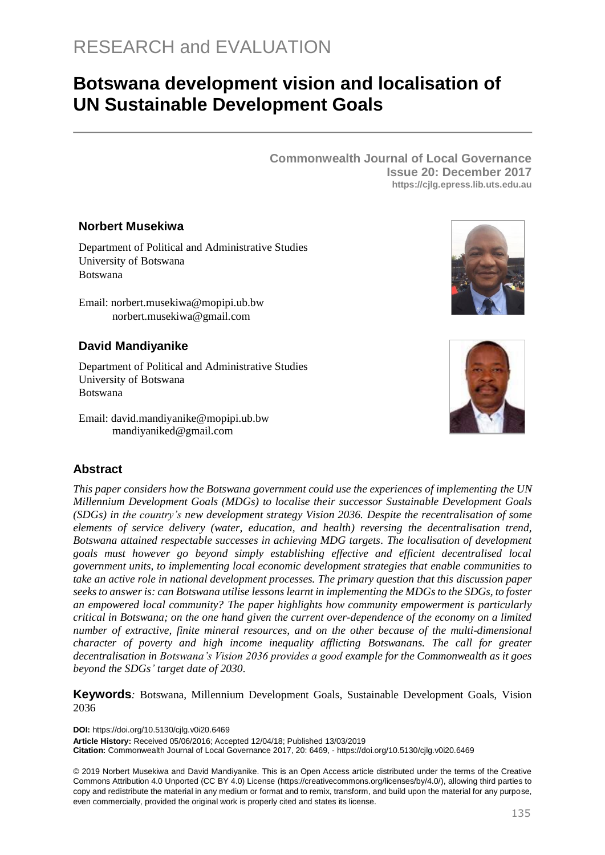# **Botswana development vision and localisation of UN Sustainable Development Goals**

**Commonwealth Journal of Local Governance Issue 20: December 2017 https://cjlg.epress.lib.uts.edu.au**

#### **Norbert Musekiwa**

Department of Political and Administrative Studies University of Botswana Botswana

Email: norbert.musekiwa@mopipi.ub.bw norbert.musekiwa@gmail.com

# **David Mandiyanike**

[Department of Political and Administrative Studies](https://www.researchgate.net/institution/University_of_Botswana/department/Department_of_Political_and_Administrative_Studies) University of Botswana Botswana

Email: david.mandiyanike@mopipi.ub.bw mandiyaniked@gmail.com



## **Abstract**

*This paper considers how the Botswana government could use the experiences of implementing the UN Millennium Development Goals (MDGs) to localise their successor Sustainable Development Goals (SDGs) in the country's new development strategy Vision 2036. Despite the recentralisation of some elements of service delivery (water, education, and health) reversing the decentralisation trend, Botswana attained respectable successes in achieving MDG targets. The localisation of development goals must however go beyond simply establishing effective and efficient decentralised local government units, to implementing local economic development strategies that enable communities to take an active role in national development processes. The primary question that this discussion paper seeks to answer is: can Botswana utilise lessons learnt in implementing the MDGs to the SDGs, to foster an empowered local community? The paper highlights how community empowerment is particularly critical in Botswana; on the one hand given the current over-dependence of the economy on a limited number of extractive, finite mineral resources, and on the other because of the multi-dimensional character of poverty and high income inequality afflicting Botswanans. The call for greater decentralisation in Botswana's Vision 2036 provides a good example for the Commonwealth as it goes beyond the SDGs' target date of 2030.*

**Keywords***:* Botswana, Millennium Development Goals, Sustainable Development Goals, Vision 2036

**DOI:** https://doi.org/10.5130/cjlg.v0i20.6469 **Article History:** Received 05/06/2016; Accepted 12/04/18; Published 13/03/2019 **Citation:** Commonwealth Journal of Local Governance 2017, 20: 6469, - https://doi.org/10.5130/cjlg.v0i20.6469

© 2019 Norbert Musekiwa and David Mandiyanike. This is an Open Access article distributed under the terms of the Creative Commons Attribution 4.0 Unported (CC BY 4.0) License [\(https://creativecommons.org/licenses/by/4.0/\)](https://creativecommons.org/licenses/by/4.0/), allowing third parties to copy and redistribute the material in any medium or format and to remix, transform, and build upon the material for any purpose, even commercially, provided the original work is properly cited and states its license.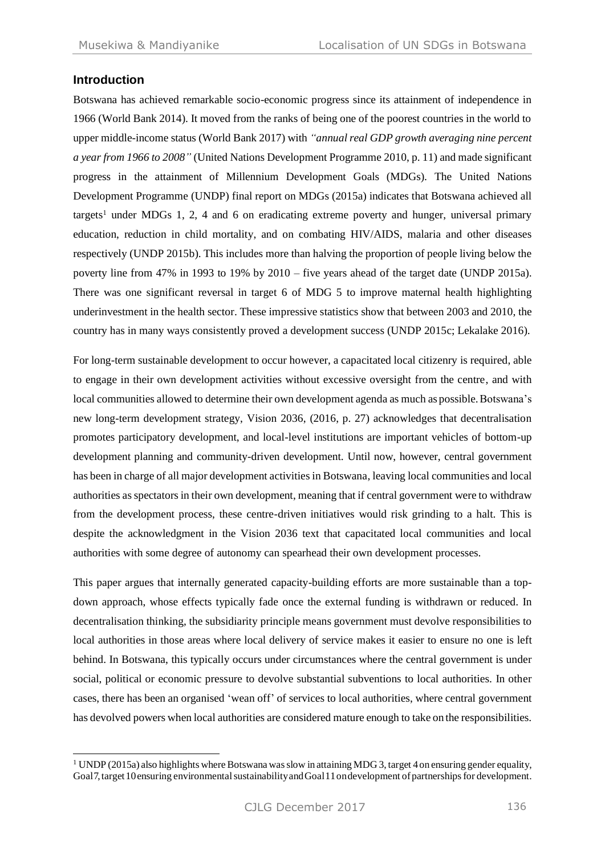## **Introduction**

-

Botswana has achieved remarkable socio-economic progress since its attainment of independence in 1966 (World Bank 2014). It moved from the ranks of being one of the poorest countries in the world to upper middle-income status (World Bank 2017) with *"annual real GDP growth averaging nine percent a year from 1966 to 2008"* (United Nations Development Programme 2010, p. 11) and made significant progress in the attainment of Millennium Development Goals (MDGs). The United Nations Development Programme (UNDP) final report on MDGs (2015a) indicates that Botswana achieved all targets<sup>1</sup> under MDGs 1, 2, 4 and 6 on eradicating extreme poverty and hunger, universal primary education, reduction in child mortality, and on combating HIV/AIDS, malaria and other diseases respectively (UNDP 2015b). This includes more than halving the proportion of people living below the poverty line from 47% in 1993 to 19% by 2010 – five years ahead of the target date (UNDP 2015a). There was one significant reversal in target 6 of MDG 5 to improve maternal health highlighting underinvestment in the health sector. These impressive statistics show that between 2003 and 2010, the country has in many ways consistently proved a development success (UNDP 2015c; Lekalake 2016).

For long-term sustainable development to occur however, a capacitated local citizenry is required, able to engage in their own development activities without excessive oversight from the centre, and with local communities allowed to determine their own development agenda as much as possible. Botswana's new long-term development strategy, Vision 2036, (2016, p. 27) acknowledges that decentralisation promotes participatory development, and local-level institutions are important vehicles of bottom-up development planning and community-driven development. Until now, however, central government has been in charge of all major development activities in Botswana, leaving local communities and local authorities as spectators in their own development, meaning that if central government were to withdraw from the development process, these centre-driven initiatives would risk grinding to a halt. This is despite the acknowledgment in the Vision 2036 text that capacitated local communities and local authorities with some degree of autonomy can spearhead their own development processes.

This paper argues that internally generated capacity-building efforts are more sustainable than a topdown approach, whose effects typically fade once the external funding is withdrawn or reduced. In decentralisation thinking, the subsidiarity principle means government must devolve responsibilities to local authorities in those areas where local delivery of service makes it easier to ensure no one is left behind. In Botswana, this typically occurs under circumstances where the central government is under social, political or economic pressure to devolve substantial subventions to local authorities. In other cases, there has been an organised 'wean off' of services to local authorities, where central government has devolved powers when local authorities are considered mature enough to take on the responsibilities.

 $1$  UNDP(2015a) also highlights where Botswana was slow in attaining MDG 3, target 4 on ensuring gender equality, Goal7, target 10 ensuring environmental sustainability and Goal11 on development of partnerships for development.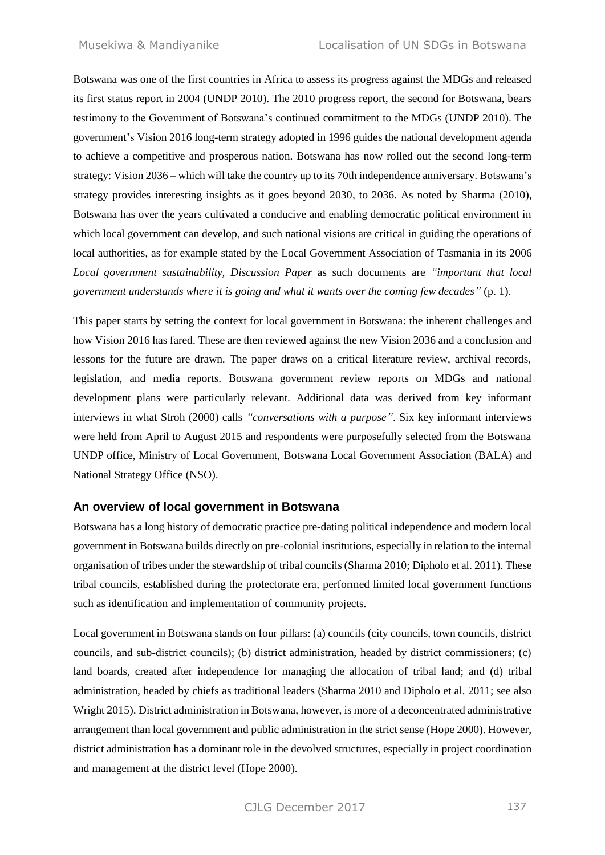Botswana was one of the first countries in Africa to assess its progress against the MDGs and released its first status report in 2004 (UNDP 2010). The 2010 progress report, the second for Botswana, bears testimony to the Government of Botswana's continued commitment to the MDGs (UNDP 2010). The government's Vision 2016 long-term strategy adopted in 1996 guides the national development agenda to achieve a competitive and prosperous nation. Botswana has now rolled out the second long-term strategy: Vision 2036 – which will take the country up to its 70th independence anniversary. Botswana's strategy provides interesting insights as it goes beyond 2030, to 2036. As noted by Sharma (2010), Botswana has over the years cultivated a conducive and enabling democratic political environment in which local government can develop, and such national visions are critical in guiding the operations of local authorities, as for example stated by the Local Government Association of Tasmania in its 2006 *Local government sustainability, Discussion Paper* as such documents are *"important that local government understands where it is going and what it wants over the coming few decades"* (p. 1).

This paper starts by setting the context for local government in Botswana: the inherent challenges and how Vision 2016 has fared. These are then reviewed against the new Vision 2036 and a conclusion and lessons for the future are drawn. The paper draws on a critical literature review, archival records, legislation, and media reports. Botswana government review reports on MDGs and national development plans were particularly relevant. Additional data was derived from key informant interviews in what Stroh (2000) calls *"conversations with a purpose"*. Six key informant interviews were held from April to August 2015 and respondents were purposefully selected from the Botswana UNDP office, Ministry of Local Government, Botswana Local Government Association (BALA) and National Strategy Office (NSO).

# **An overview of local government in Botswana**

Botswana has a long history of democratic practice pre-dating political independence and modern local government in Botswana builds directly on pre-colonial institutions, especially in relation to the internal organisation of tribes under the stewardship of tribal councils (Sharma 2010; Dipholo et al. 2011). These tribal councils, established during the protectorate era, performed limited local government functions such as identification and implementation of community projects.

Local government in Botswana stands on four pillars: (a) councils (city councils, town councils, district councils, and sub-district councils); (b) district administration, headed by district commissioners; (c) land boards, created after independence for managing the allocation of tribal land; and (d) tribal administration, headed by chiefs as traditional leaders (Sharma 2010 and Dipholo et al. 2011; see also Wright 2015). District administration in Botswana, however, is more of a deconcentrated administrative arrangement than local government and public administration in the strict sense (Hope 2000). However, district administration has a dominant role in the devolved structures, especially in project coordination and management at the district level (Hope 2000).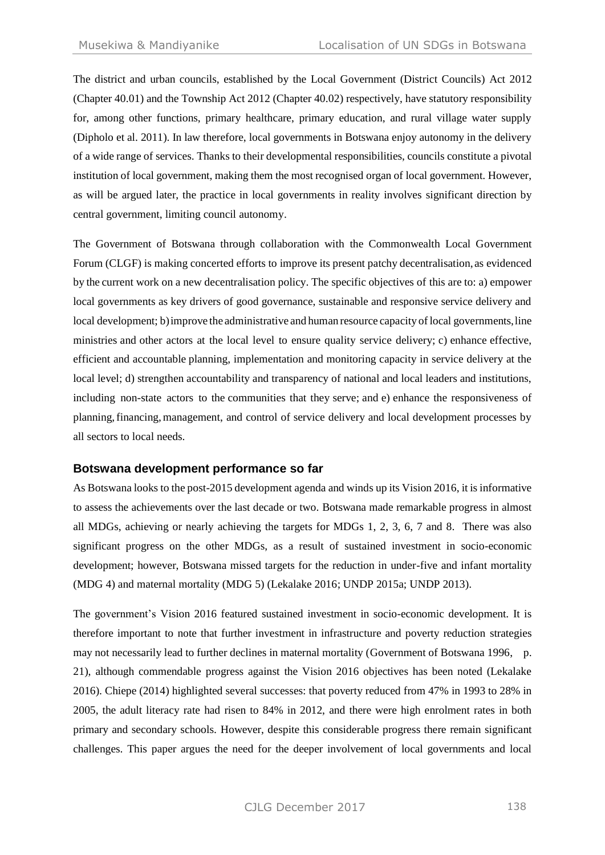The district and urban councils, established by the Local Government (District Councils) Act 2012 (Chapter 40.01) and the Township Act 2012 (Chapter 40.02) respectively, have statutory responsibility for, among other functions, primary healthcare, primary education, and rural village water supply (Dipholo et al. 2011). In law therefore, local governments in Botswana enjoy autonomy in the delivery of a wide range of services. Thanks to their developmental responsibilities, councils constitute a pivotal institution of local government, making them the most recognised organ of local government. However, as will be argued later, the practice in local governments in reality involves significant direction by central government, limiting council autonomy.

The Government of Botswana through collaboration with the Commonwealth Local Government Forum (CLGF) is making concerted efforts to improve its present patchy decentralisation, as evidenced by the current work on a new decentralisation policy. The specific objectives of this are to: a) empower local governments as key drivers of good governance, sustainable and responsive service delivery and local development; b) improve the administrative and human resource capacity of local governments, line ministries and other actors at the local level to ensure quality service delivery; c) enhance effective, efficient and accountable planning, implementation and monitoring capacity in service delivery at the local level; d) strengthen accountability and transparency of national and local leaders and institutions, including non-state actors to the communities that they serve; and e) enhance the responsiveness of planning,financing,management, and control of service delivery and local development processes by all sectors to local needs.

#### **Botswana development performance so far**

As Botswana looks to the post-2015 development agenda and winds up its Vision 2016, it is informative to assess the achievements over the last decade or two. Botswana made remarkable progress in almost all MDGs, achieving or nearly achieving the targets for MDGs 1, 2, 3, 6, 7 and 8. There was also significant progress on the other MDGs, as a result of sustained investment in socio-economic development; however, Botswana missed targets for the reduction in under-five and infant mortality (MDG 4) and maternal mortality (MDG 5) (Lekalake 2016; UNDP 2015a; UNDP 2013).

The government's Vision 2016 featured sustained investment in socio-economic development. It is therefore important to note that further investment in infrastructure and poverty reduction strategies may not necessarily lead to further declines in maternal mortality (Government of Botswana 1996, p. 21), although commendable progress against the Vision 2016 objectives has been noted (Lekalake 2016). Chiepe (2014) highlighted several successes: that poverty reduced from 47% in 1993 to 28% in 2005, the adult literacy rate had risen to 84% in 2012, and there were high enrolment rates in both primary and secondary schools. However, despite this considerable progress there remain significant challenges. This paper argues the need for the deeper involvement of local governments and local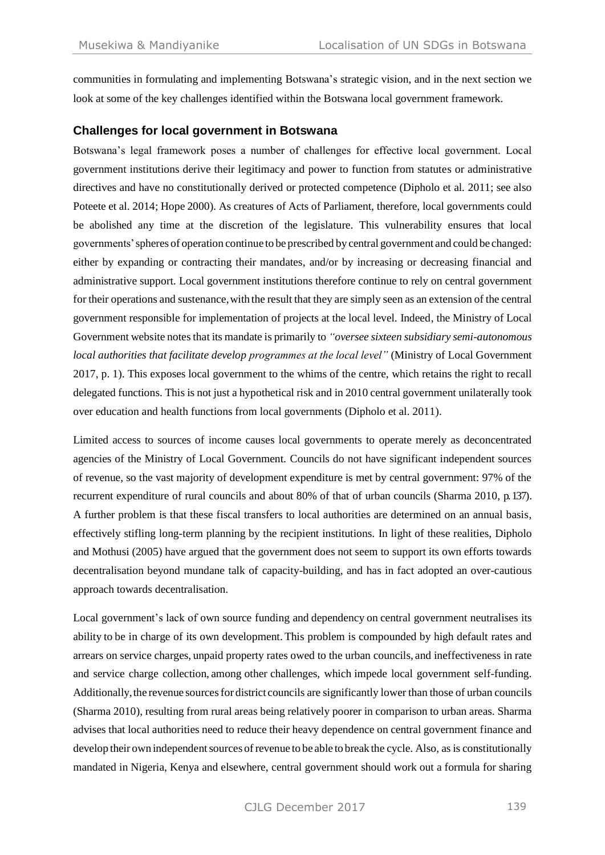communities in formulating and implementing Botswana's strategic vision, and in the next section we look at some of the key challenges identified within the Botswana local government framework.

#### **Challenges for local government in Botswana**

Botswana's legal framework poses a number of challenges for effective local government. Local government institutions derive their legitimacy and power to function from statutes or administrative directives and have no constitutionally derived or protected competence (Dipholo et al*.* 2011; see also Poteete et al. 2014; Hope 2000). As creatures of Acts of Parliament, therefore, local governments could be abolished any time at the discretion of the legislature. This vulnerability ensures that local governments'spheres of operation continue to be prescribed by central government and could be changed: either by expanding or contracting their mandates, and/or by increasing or decreasing financial and administrative support. Local government institutions therefore continue to rely on central government for their operations and sustenance,with the result that they are simply seen as an extension of the central government responsible for implementation of projects at the local level. Indeed, the Ministry of Local Government website notes that its mandate is primarily to *"oversee sixteen subsidiary semi-autonomous local authorities that facilitate develop programmes at the local level"* (Ministry of Local Government 2017, p. 1). This exposes local government to the whims of the centre, which retains the right to recall delegated functions. This is not just a hypothetical risk and in 2010 central government unilaterally took over education and health functions from local governments (Dipholo et al. 2011).

Limited access to sources of income causes local governments to operate merely as deconcentrated agencies of the Ministry of Local Government. Councils do not have significant independent sources of revenue, so the vast majority of development expenditure is met by central government: 97% of the recurrent expenditure of rural councils and about 80% of that of urban councils (Sharma 2010, p. 137). A further problem is that these fiscal transfers to local authorities are determined on an annual basis, effectively stifling long-term planning by the recipient institutions. In light of these realities, Dipholo and Mothusi (2005) have argued that the government does not seem to support its own efforts towards decentralisation beyond mundane talk of capacity-building, and has in fact adopted an over-cautious approach towards decentralisation.

Local government's lack of own source funding and dependency on central government neutralises its ability to be in charge of its own development. This problem is compounded by high default rates and arrears on service charges, unpaid property rates owed to the urban councils, and ineffectiveness in rate and service charge collection, among other challenges, which impede local government self-funding. Additionally,the revenue sourcesfor district councils are significantly lower than those of urban councils (Sharma 2010), resulting from rural areas being relatively poorer in comparison to urban areas. Sharma advises that local authorities need to reduce their heavy dependence on central government finance and develop their own independent sources of revenue to be able to break the cycle. Also, as is constitutionally mandated in Nigeria, Kenya and elsewhere, central government should work out a formula for sharing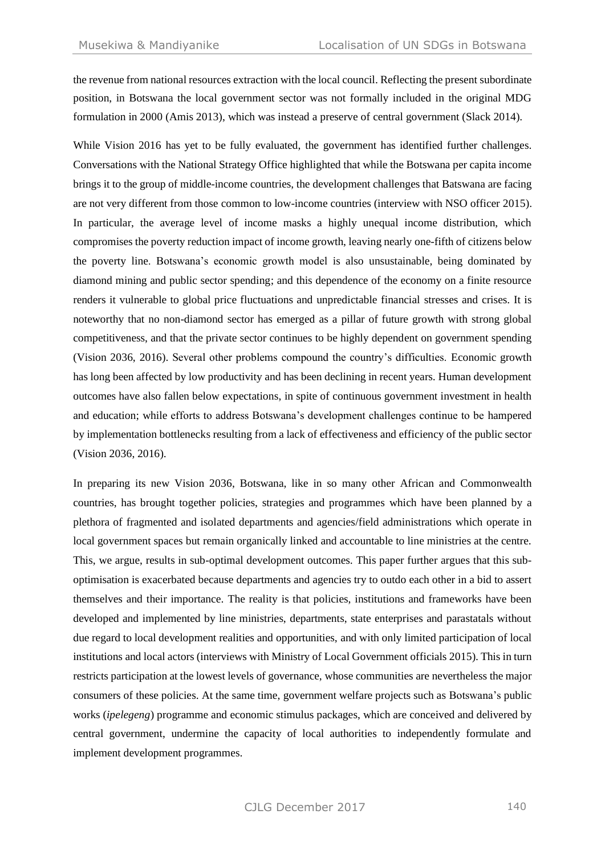the revenue from national resources extraction with the local council. Reflecting the present subordinate position, in Botswana the local government sector was not formally included in the original MDG formulation in 2000 (Amis 2013), which was instead a preserve of central government (Slack 2014).

While Vision 2016 has yet to be fully evaluated, the government has identified further challenges. Conversations with the National Strategy Office highlighted that while the Botswana per capita income brings it to the group of middle-income countries, the development challenges that Batswana are facing are not very different from those common to low-income countries (interview with NSO officer 2015). In particular, the average level of income masks a highly unequal income distribution, which compromises the poverty reduction impact of income growth, leaving nearly one-fifth of citizens below the poverty line. Botswana's economic growth model is also unsustainable, being dominated by diamond mining and public sector spending; and this dependence of the economy on a finite resource renders it vulnerable to global price fluctuations and unpredictable financial stresses and crises. It is noteworthy that no non-diamond sector has emerged as a pillar of future growth with strong global competitiveness, and that the private sector continues to be highly dependent on government spending (Vision 2036, 2016). Several other problems compound the country's difficulties. Economic growth has long been affected by low productivity and has been declining in recent years. Human development outcomes have also fallen below expectations, in spite of continuous government investment in health and education; while efforts to address Botswana's development challenges continue to be hampered by implementation bottlenecks resulting from a lack of effectiveness and efficiency of the public sector (Vision 2036, 2016).

In preparing its new Vision 2036, Botswana, like in so many other African and Commonwealth countries, has brought together policies, strategies and programmes which have been planned by a plethora of fragmented and isolated departments and agencies/field administrations which operate in local government spaces but remain organically linked and accountable to line ministries at the centre. This, we argue, results in sub-optimal development outcomes. This paper further argues that this suboptimisation is exacerbated because departments and agencies try to outdo each other in a bid to assert themselves and their importance. The reality is that policies, institutions and frameworks have been developed and implemented by line ministries, departments, state enterprises and parastatals without due regard to local development realities and opportunities, and with only limited participation of local institutions and local actors (interviews with Ministry of Local Government officials 2015). This in turn restricts participation at the lowest levels of governance, whose communities are nevertheless the major consumers of these policies. At the same time, government welfare projects such as Botswana's public works (*ipelegeng*) programme and economic stimulus packages, which are conceived and delivered by central government, undermine the capacity of local authorities to independently formulate and implement development programmes.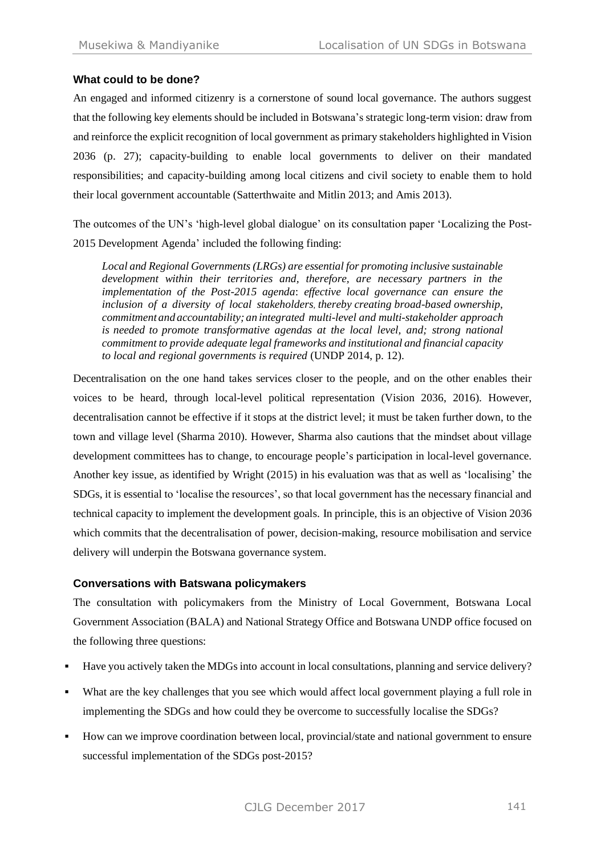## **What could to be done?**

An engaged and informed citizenry is a cornerstone of sound local governance. The authors suggest that the following key elements should be included in Botswana's strategic long-term vision: draw from and reinforce the explicit recognition of local government as primary stakeholders highlighted in Vision 2036 (p. 27); capacity-building to enable local governments to deliver on their mandated responsibilities; and capacity-building among local citizens and civil society to enable them to hold their local government accountable (Satterthwaite and Mitlin 2013; and Amis 2013).

The outcomes of the UN's 'high-level global dialogue' on its consultation paper 'Localizing the Post-2015 Development Agenda' included the following finding:

*Local and Regional Governments (LRGs) are essential for promoting inclusive sustainable development within their territories and, therefore, are necessary partners in the implementation of the Post-2015 agenda*: *effective local governance can ensure the inclusion of a diversity of local stakeholders, thereby creating broad-based ownership, commitment and accountability; an integrated multi-level and multi-stakeholder approach is needed to promote transformative agendas at the local level, and; strong national commitment to provide adequate legal frameworks and institutional and financial capacity to local and regional governments is required* (UNDP 2014, p. 12).

Decentralisation on the one hand takes services closer to the people, and on the other enables their voices to be heard, through local-level political representation (Vision 2036, 2016). However, decentralisation cannot be effective if it stops at the district level; it must be taken further down, to the town and village level (Sharma 2010). However, Sharma also cautions that the mindset about village development committees has to change, to encourage people's participation in local-level governance. Another key issue, as identified by Wright (2015) in his evaluation was that as well as 'localising' the SDGs, it is essential to 'localise the resources', so that local government has the necessary financial and technical capacity to implement the development goals. In principle, this is an objective of Vision 2036 which commits that the decentralisation of power, decision-making, resource mobilisation and service delivery will underpin the Botswana governance system.

#### **Conversations with Batswana policymakers**

The consultation with policymakers from the Ministry of Local Government, Botswana Local Government Association (BALA) and National Strategy Office and Botswana UNDP office focused on the following three questions:

- Have you actively taken the MDGs into account in local consultations, planning and service delivery?
- What are the key challenges that you see which would affect local government playing a full role in implementing the SDGs and how could they be overcome to successfully localise the SDGs?
- How can we improve coordination between local, provincial/state and national government to ensure successful implementation of the SDGs post-2015?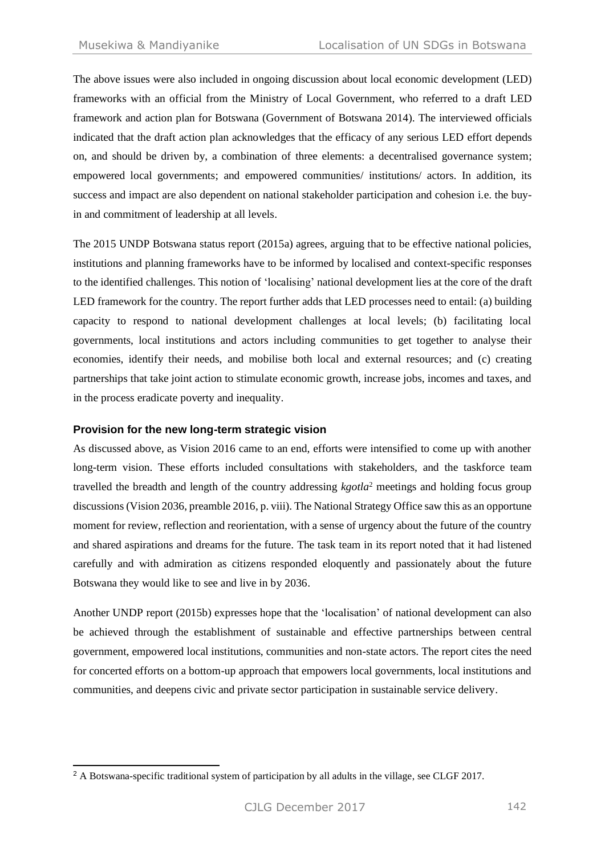The above issues were also included in ongoing discussion about local economic development (LED) frameworks with an official from the Ministry of Local Government, who referred to a draft LED framework and action plan for Botswana (Government of Botswana 2014). The interviewed officials indicated that the draft action plan acknowledges that the efficacy of any serious LED effort depends on, and should be driven by, a combination of three elements: a decentralised governance system; empowered local governments; and empowered communities/ institutions/ actors. In addition, its success and impact are also dependent on national stakeholder participation and cohesion i.e. the buyin and commitment of leadership at all levels.

The 2015 UNDP Botswana status report (2015a) agrees, arguing that to be effective national policies, institutions and planning frameworks have to be informed by localised and context-specific responses to the identified challenges. This notion of 'localising' national development lies at the core of the draft LED framework for the country. The report further adds that LED processes need to entail: (a) building capacity to respond to national development challenges at local levels; (b) facilitating local governments, local institutions and actors including communities to get together to analyse their economies, identify their needs, and mobilise both local and external resources; and (c) creating partnerships that take joint action to stimulate economic growth, increase jobs, incomes and taxes, and in the process eradicate poverty and inequality.

#### **Provision for the new long-term strategic vision**

As discussed above, as Vision 2016 came to an end, efforts were intensified to come up with another long-term vision. These efforts included consultations with stakeholders, and the taskforce team travelled the breadth and length of the country addressing *kgotla*<sup>2</sup> meetings and holding focus group discussions (Vision 2036, preamble 2016, p. viii). The National Strategy Office saw this as an opportune moment for review, reflection and reorientation, with a sense of urgency about the future of the country and shared aspirations and dreams for the future. The task team in its report noted that it had listened carefully and with admiration as citizens responded eloquently and passionately about the future Botswana they would like to see and live in by 2036.

Another UNDP report (2015b) expresses hope that the 'localisation' of national development can also be achieved through the establishment of sustainable and effective partnerships between central government, empowered local institutions, communities and non-state actors. The report cites the need for concerted efforts on a bottom-up approach that empowers local governments, local institutions and communities, and deepens civic and private sector participation in sustainable service delivery.

<sup>-</sup><sup>2</sup> A Botswana-specific traditional system of participation by all adults in the village, see CLGF 2017.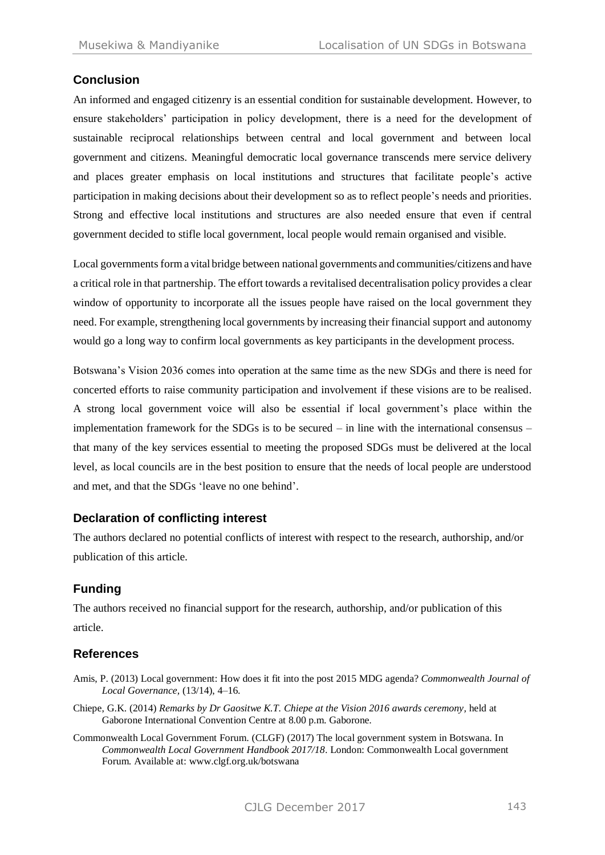# **Conclusion**

An informed and engaged citizenry is an essential condition for sustainable development. However, to ensure stakeholders' participation in policy development, there is a need for the development of sustainable reciprocal relationships between central and local government and between local government and citizens. Meaningful democratic local governance transcends mere service delivery and places greater emphasis on local institutions and structures that facilitate people's active participation in making decisions about their development so as to reflect people's needs and priorities. Strong and effective local institutions and structures are also needed ensure that even if central government decided to stifle local government, local people would remain organised and visible.

Local governments form a vital bridge between national governments and communities/citizens and have a critical role in that partnership. The effort towards a revitalised decentralisation policy provides a clear window of opportunity to incorporate all the issues people have raised on the local government they need. For example, strengthening local governments by increasing their financial support and autonomy would go a long way to confirm local governments as key participants in the development process.

Botswana's Vision 2036 comes into operation at the same time as the new SDGs and there is need for concerted efforts to raise community participation and involvement if these visions are to be realised. A strong local government voice will also be essential if local government's place within the implementation framework for the SDGs is to be secured  $-$  in line with the international consensus  $$ that many of the key services essential to meeting the proposed SDGs must be delivered at the local level, as local councils are in the best position to ensure that the needs of local people are understood and met, and that the SDGs 'leave no one behind'.

## **Declaration of conflicting interest**

The authors declared no potential conflicts of interest with respect to the research, authorship, and/or publication of this article.

# **Funding**

The authors received no financial support for the research, authorship, and/or publication of this article.

## **References**

- Amis, P. (2013) Local government: How does it fit into the post 2015 MDG agenda? *Commonwealth Journal of Local Governance,* (13/14), 4–16.
- Chiepe, G.K. (2014) *Remarks by Dr Gaositwe K.T. Chiepe at the Vision 2016 awards ceremony,* held at Gaborone International Convention Centre at 8.00 p.m. Gaborone.
- Commonwealth Local Government Forum. (CLGF) (2017) The local government system in Botswana. In *Commonwealth Local Government Handbook 2017/18*. London: Commonwealth Local government Forum. Available at: www.clgf.org.uk/botswana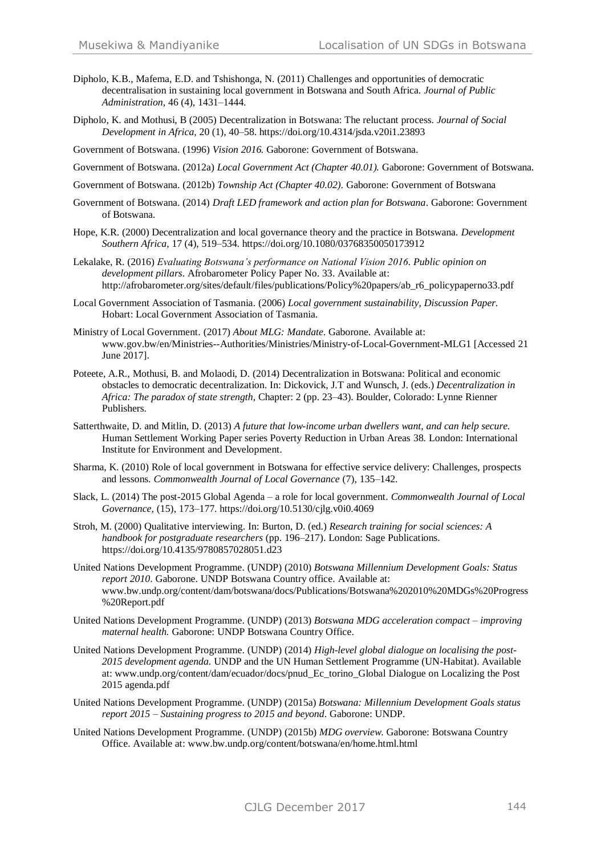- Dipholo, K.B., Mafema, E.D. and Tshishonga, N. (2011) Challenges and opportunities of democratic decentralisation in sustaining local government in Botswana and South Africa. *Journal of Public Administration,* 46 (4), 1431–1444.
- Dipholo, K. and Mothusi, B (2005) Decentralization in Botswana: The reluctant process. *Journal of Social Development in Africa,* 20 (1), 40–58. <https://doi.org/10.4314/jsda.v20i1.23893>

Government of Botswana. (1996) *Vision 2016.* Gaborone: Government of Botswana.

Government of Botswana. (2012a) *Local Government Act (Chapter 40.01).* Gaborone: Government of Botswana.

- Government of Botswana. (2012b) *Township Act (Chapter 40.02).* Gaborone: Government of Botswana
- Government of Botswana. (2014) *Draft LED framework and action plan for Botswana*. Gaborone: Government of Botswana.
- Hope, K.R. (2000) Decentralization and local governance theory and the practice in Botswana. *Development Southern Africa,* 17 (4), 519–534. <https://doi.org/10.1080/03768350050173912>
- Lekalake, R. (2016) *Evaluating Botswana's performance on National Vision 2016. Public opinion on development pillars*. Afrobarometer Policy Paper No. 33. Available at: http://afrobarometer.org/sites/default/files/publications/Policy%20papers/ab\_r6\_policypaperno33.pdf
- Local Government Association of Tasmania. (2006) *Local government sustainability, Discussion Paper.* Hobart: Local Government Association of Tasmania.
- Ministry of Local Government. (2017) *About MLG: Mandate*. Gaborone. Available at: [www.gov.bw/en/Ministries--Authorities/Ministries/Ministry-of-Local-Government-MLG1](http://www.gov.bw/en/Ministries--Authorities/Ministries/Ministry-of-Local-Government-MLG1) [Accessed 21 June 2017].
- Poteete, A.R., Mothusi, B. and Molaodi, D. (2014) Decentralization in Botswana: Political and economic obstacles to democratic decentralization. In: Dickovick, J.T and Wunsch, J. (eds.) *Decentralization in Africa: The paradox of state strength,* Chapter: 2 (pp. 23–43). Boulder, Colorado: Lynne Rienner Publishers.
- Satterthwaite, D. and Mitlin, D. (2013) *A future that low-income urban dwellers want, and can help secure.*  Human Settlement Working Paper series Poverty Reduction in Urban Areas 38*.* London: International Institute for Environment and Development.
- Sharma, K. (2010) Role of local government in Botswana for effective service delivery: Challenges, prospects and lessons. *Commonwealth Journal of Local Governance* (7), 135–142.
- Slack, L. (2014) The post-2015 Global Agenda a role for local government. *Commonwealth Journal of Local Governance,* (15), 173–177. <https://doi.org/10.5130/cjlg.v0i0.4069>
- Stroh, M. (2000) Qualitative interviewing. In: Burton, D. (ed.) *Research training for social sciences: A handbook for postgraduate researchers* (pp. 196–217). London: Sage Publications. <https://doi.org/10.4135/9780857028051.d23>
- United Nations Development Programme. (UNDP) (2010) *Botswana Millennium Development Goals: Status report 2010*. Gaborone. UNDP Botswana Country office. Available at: www.bw.undp.org/content/dam/botswana/docs/Publications/Botswana%202010%20MDGs%20Progress %20Report.pdf
- United Nations Development Programme. (UNDP) (2013) *Botswana MDG acceleration compact – improving maternal health.* Gaborone: UNDP Botswana Country Office.
- United Nations Development Programme. (UNDP) (2014) *High-level global dialogue on localising the post-2015 development agenda.* UNDP and the UN Human Settlement Programme (UN-Habitat). Available at: www.undp.org/content/dam/ecuador/docs/pnud\_Ec\_torino\_Global Dialogue on Localizing the Post 2015 agenda.pdf
- United Nations Development Programme. (UNDP) (2015a) *Botswana: Millennium Development Goals status report 2015 – Sustaining progress to 2015 and beyond*. Gaborone: UNDP.
- United Nations Development Programme. (UNDP) (2015b) *MDG overview*. Gaborone: Botswana Country Office. Available at[: www.bw.undp.org/content/botswana/en/home.html.html](http://www.bw.undp.org/content/botswana/en/home.html.html)